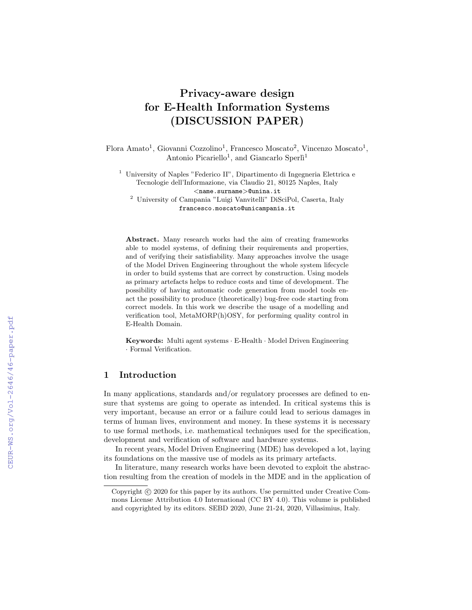# Privacy-aware design for E-Health Information Systems (DISCUSSION PAPER)

Flora Amato<sup>1</sup>, Giovanni Cozzolino<sup>1</sup>, Francesco Moscato<sup>2</sup>, Vincenzo Moscato<sup>1</sup>, Antonio Picariello<sup>1</sup>, and Giancarlo Sperlì<sup>1</sup>

<sup>1</sup> University of Naples "Federico II", Dipartimento di Ingegneria Elettrica e Tecnologie dell'Informazione, via Claudio 21, 80125 Naples, Italy  $\langle$ name.surname $>$ @unina.it

<sup>2</sup> University of Campania "Luigi Vanvitelli" DiSciPol, Caserta, Italy francesco.moscato@unicampania.it

Abstract. Many research works had the aim of creating frameworks able to model systems, of defining their requirements and properties, and of verifying their satisfiability. Many approaches involve the usage of the Model Driven Engineering throughout the whole system lifecycle in order to build systems that are correct by construction. Using models as primary artefacts helps to reduce costs and time of development. The possibility of having automatic code generation from model tools enact the possibility to produce (theoretically) bug-free code starting from correct models. In this work we describe the usage of a modelling and verification tool, MetaMORP(h)OSY, for performing quality control in E-Health Domain.

Keywords: Multi agent systems · E-Health · Model Driven Engineering · Formal Verification.

# 1 Introduction

In many applications, standards and/or regulatory processes are defined to ensure that systems are going to operate as intended. In critical systems this is very important, because an error or a failure could lead to serious damages in terms of human lives, environment and money. In these systems it is necessary to use formal methods, i.e. mathematical techniques used for the specification, development and verification of software and hardware systems.

In recent years, Model Driven Engineering (MDE) has developed a lot, laying its foundations on the massive use of models as its primary artefacts.

In literature, many research works have been devoted to exploit the abstraction resulting from the creation of models in the MDE and in the application of

Copyright  $\odot$  2020 for this paper by its authors. Use permitted under Creative Commons License Attribution 4.0 International (CC BY 4.0). This volume is published and copyrighted by its editors. SEBD 2020, June 21-24, 2020, Villasimius, Italy.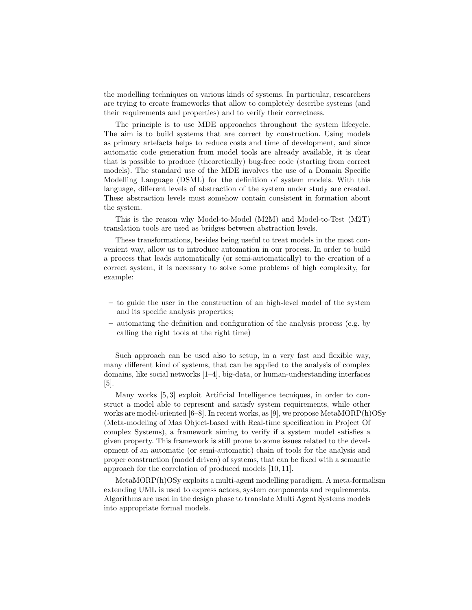the modelling techniques on various kinds of systems. In particular, researchers are trying to create frameworks that allow to completely describe systems (and their requirements and properties) and to verify their correctness.

The principle is to use MDE approaches throughout the system lifecycle. The aim is to build systems that are correct by construction. Using models as primary artefacts helps to reduce costs and time of development, and since automatic code generation from model tools are already available, it is clear that is possible to produce (theoretically) bug-free code (starting from correct models). The standard use of the MDE involves the use of a Domain Specific Modelling Language (DSML) for the definition of system models. With this language, different levels of abstraction of the system under study are created. These abstraction levels must somehow contain consistent in formation about the system.

This is the reason why Model-to-Model (M2M) and Model-to-Test (M2T) translation tools are used as bridges between abstraction levels.

These transformations, besides being useful to treat models in the most convenient way, allow us to introduce automation in our process. In order to build a process that leads automatically (or semi-automatically) to the creation of a correct system, it is necessary to solve some problems of high complexity, for example:

- to guide the user in the construction of an high-level model of the system and its specific analysis properties;
- automating the definition and configuration of the analysis process (e.g. by calling the right tools at the right time)

Such approach can be used also to setup, in a very fast and flexible way, many different kind of systems, that can be applied to the analysis of complex domains, like social networks [1–4], big-data, or human-understanding interfaces  $|5|$ .

Many works [5, 3] exploit Artificial Intelligence tecniques, in order to construct a model able to represent and satisfy system requirements, while other works are model-oriented [6–8]. In recent works, as [9], we propose MetaMORP(h)OSy (Meta-modeling of Mas Object-based with Real-time specification in Project Of complex Systems), a framework aiming to verify if a system model satisfies a given property. This framework is still prone to some issues related to the development of an automatic (or semi-automatic) chain of tools for the analysis and proper construction (model driven) of systems, that can be fixed with a semantic approach for the correlation of produced models [10, 11].

MetaMORP(h)OSy exploits a multi-agent modelling paradigm. A meta-formalism extending UML is used to express actors, system components and requirements. Algorithms are used in the design phase to translate Multi Agent Systems models into appropriate formal models.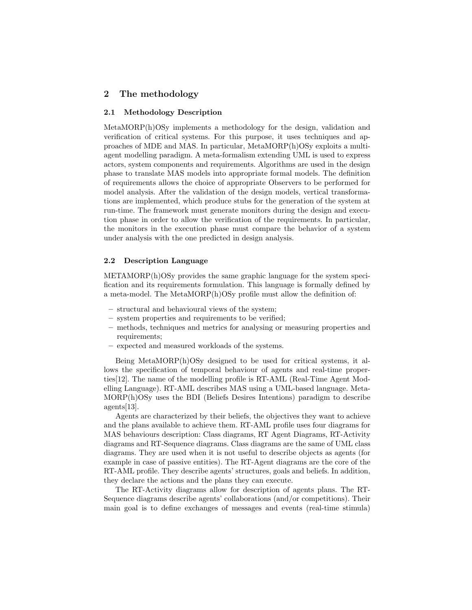## 2 The methodology

#### 2.1 Methodology Description

MetaMORP(h)OSy implements a methodology for the design, validation and verification of critical systems. For this purpose, it uses techniques and approaches of MDE and MAS. In particular, MetaMORP(h)OSy exploits a multiagent modelling paradigm. A meta-formalism extending UML is used to express actors, system components and requirements. Algorithms are used in the design phase to translate MAS models into appropriate formal models. The definition of requirements allows the choice of appropriate Observers to be performed for model analysis. After the validation of the design models, vertical transformations are implemented, which produce stubs for the generation of the system at run-time. The framework must generate monitors during the design and execution phase in order to allow the verification of the requirements. In particular, the monitors in the execution phase must compare the behavior of a system under analysis with the one predicted in design analysis.

### 2.2 Description Language

METAMORP(h)OSy provides the same graphic language for the system specification and its requirements formulation. This language is formally defined by a meta-model. The MetaMORP(h)OSy profile must allow the definition of:

- structural and behavioural views of the system;
- system properties and requirements to be verified;
- methods, techniques and metrics for analysing or measuring properties and requirements;
- expected and measured workloads of the systems.

Being MetaMORP(h)OSy designed to be used for critical systems, it allows the specification of temporal behaviour of agents and real-time properties[12]. The name of the modelling profile is RT-AML (Real-Time Agent Modelling Language). RT-AML describes MAS using a UML-based language. Meta-MORP(h)OSy uses the BDI (Beliefs Desires Intentions) paradigm to describe agents[13].

Agents are characterized by their beliefs, the objectives they want to achieve and the plans available to achieve them. RT-AML profile uses four diagrams for MAS behaviours description: Class diagrams, RT Agent Diagrams, RT-Activity diagrams and RT-Sequence diagrams. Class diagrams are the same of UML class diagrams. They are used when it is not useful to describe objects as agents (for example in case of passive entities). The RT-Agent diagrams are the core of the RT-AML profile. They describe agents' structures, goals and beliefs. In addition, they declare the actions and the plans they can execute.

The RT-Activity diagrams allow for description of agents plans. The RT-Sequence diagrams describe agents' collaborations (and/or competitions). Their main goal is to define exchanges of messages and events (real-time stimula)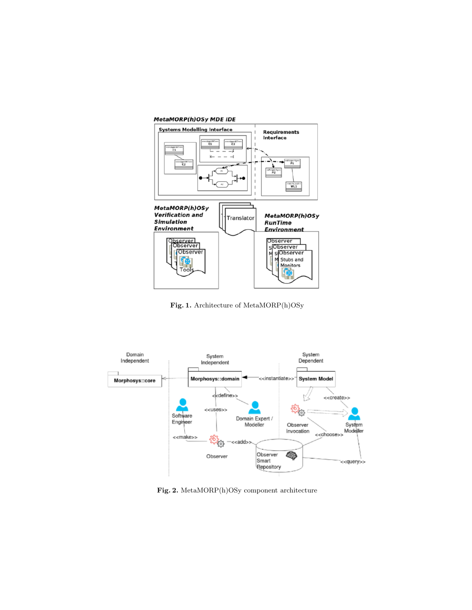## MetaMORP(h)OSy MDE IDE



Fig. 1. Architecture of MetaMORP(h)OSy



Fig. 2. MetaMORP(h)OSy component architecture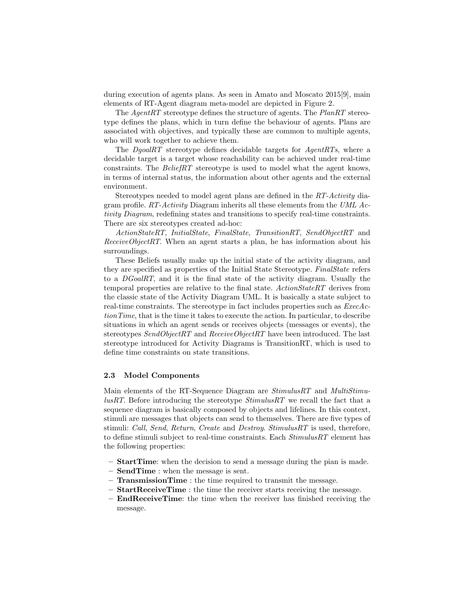during execution of agents plans. As seen in Amato and Moscato 2015[9], main elements of RT-Agent diagram meta-model are depicted in Figure 2.

The AgentRT stereotype defines the structure of agents. The PlanRT stereotype defines the plans, which in turn define the behaviour of agents. Plans are associated with objectives, and typically these are common to multiple agents, who will work together to achieve them.

The DgoalRT stereotype defines decidable targets for AgentRTs, where a decidable target is a target whose reachability can be achieved under real-time constraints. The BeliefRT stereotype is used to model what the agent knows, in terms of internal status, the information about other agents and the external environment.

Stereotypes needed to model agent plans are defined in the RT-Activity diagram profile.  $RT\text{-}Activity$  Diagram inherits all these elements from the UML Activity Diagram, redefining states and transitions to specify real-time constraints. There are six stereotypes created ad-hoc:

ActionStateRT, InitialState, FinalState, TransitionRT, SendObjectRT and  $ReceiveObjectRT$ . When an agent starts a plan, he has information about his surroundings.

These Beliefs usually make up the initial state of the activity diagram, and they are specified as properties of the Initial State Stereotype. FinalState refers to a DGoalRT, and it is the final state of the activity diagram. Usually the temporal properties are relative to the final state. ActionStateRT derives from the classic state of the Activity Diagram UML. It is basically a state subject to real-time constraints. The stereotype in fact includes properties such as ExecActionTime, that is the time it takes to execute the action. In particular, to describe situations in which an agent sends or receives objects (messages or events), the stereotypes SendObjectRT and ReceiveObjectRT have been introduced. The last stereotype introduced for Activity Diagrams is TransitionRT, which is used to define time constraints on state transitions.

#### 2.3 Model Components

Main elements of the RT-Sequence Diagram are *StimulusRT* and *MultiStimu* $luskT$ . Before introducing the stereotype  $StimulusRT$  we recall the fact that a sequence diagram is basically composed by objects and lifelines. In this context, stimuli are messages that objects can send to themselves. There are five types of stimuli: Call, Send, Return, Create and Destroy. StimulusRT is used, therefore, to define stimuli subject to real-time constraints. Each StimulusRT element has the following properties:

- StartTime: when the decision to send a message during the pian is made.
- SendTime : when the message is sent.
- TransmissionTime : the time required to transmit the message.
- StartReceiveTime : the time the receiver starts receiving the message.
- EndReceiveTime: the time when the receiver has finished receiving the message.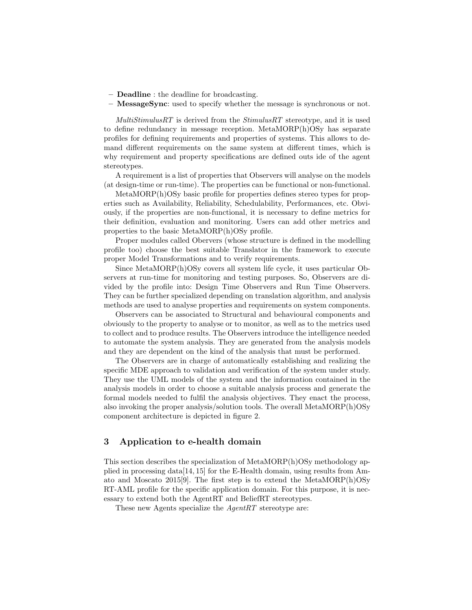- Deadline : the deadline for broadcasting.
- MessageSync: used to specify whether the message is synchronous or not.

 $MultiStimulusRT$  is derived from the  $StimulusRT$  stereotype, and it is used to define redundancy in message reception. MetaMORP(h)OSy has separate profiles for defining requirements and properties of systems. This allows to demand different requirements on the same system at different times, which is why requirement and property specifications are defined outs ide of the agent stereotypes.

A requirement is a list of properties that Observers will analyse on the models (at design-time or run-time). The properties can be functional or non-functional.

MetaMORP(h)OSy basic profile for properties defines stereo types for properties such as Availability, Reliability, Schedulability, Performances, etc. Obviously, if the properties are non-functional, it is necessary to define metrics for their definition, evaluation and monitoring. Users can add other metrics and properties to the basic MetaMORP(h)OSy profile.

Proper modules called Obervers (whose structure is defined in the modelling profile too) choose the best suitable Translator in the framework to execute proper Model Transformations and to verify requirements.

Since MetaMORP(h)OSy covers all system life cycle, it uses particular Observers at run-time for monitoring and testing purposes. So, Observers are divided by the profile into: Design Time Observers and Run Time Observers. They can be further specialized depending on translation algorithm, and analysis methods are used to analyse properties and requirements on system components.

Observers can be associated to Structural and behavioural components and obviously to the property to analyse or to monitor, as well as to the metrics used to collect and to produce results. The Observers introduce the intelligence needed to automate the system analysis. They are generated from the analysis models and they are dependent on the kind of the analysis that must be performed.

The Observers are in charge of automatically establishing and realizing the specific MDE approach to validation and verification of the system under study. They use the UML models of the system and the information contained in the analysis models in order to choose a suitable analysis process and generate the formal models needed to fulfil the analysis objectives. They enact the process, also invoking the proper analysis/solution tools. The overall MetaMORP(h)OSy component architecture is depicted in figure 2.

# 3 Application to e-health domain

This section describes the specialization of MetaMORP(h)OSy methodology applied in processing data  $[14, 15]$  for the E-Health domain, using results from Amato and Moscato 2015[9]. The first step is to extend the MetaMORP(h)OSy RT-AML profile for the specific application domain. For this purpose, it is necessary to extend both the AgentRT and BeliefRT stereotypes.

These new Agents specialize the AgentRT stereotype are: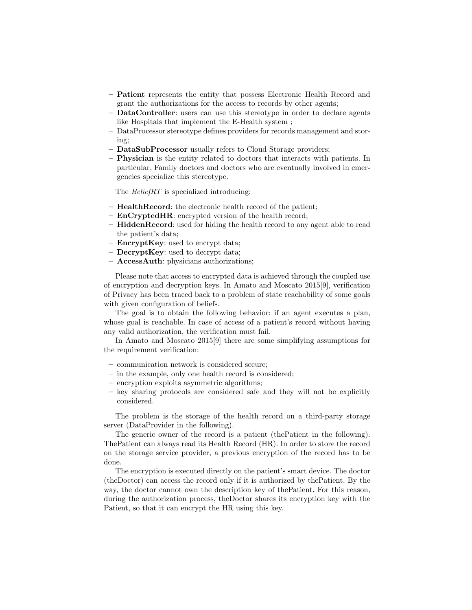- Patient represents the entity that possess Electronic Health Record and grant the authorizations for the access to records by other agents;
- DataController: users can use this stereotype in order to declare agents like Hospitals that implement the E-Health system ;
- DataProcessor stereotype defines providers for records management and storing;
- DataSubProcessor usually refers to Cloud Storage providers;
- Physician is the entity related to doctors that interacts with patients. In particular, Family doctors and doctors who are eventually involved in emergencies specialize this stereotype.

The *BeliefRT* is specialized introducing:

- HealthRecord: the electronic health record of the patient;
- EnCryptedHR: encrypted version of the health record;
- HiddenRecord: used for hiding the health record to any agent able to read the patient's data;
- $-$  **EncryptKey**: used to encrypt data;
- $-$  **DecryptKey**: used to decrypt data;
- AccessAuth: physicians authorizations;

Please note that access to encrypted data is achieved through the coupled use of encryption and decryption keys. In Amato and Moscato 2015[9], verification of Privacy has been traced back to a problem of state reachability of some goals with given configuration of beliefs.

The goal is to obtain the following behavior: if an agent executes a plan, whose goal is reachable. In case of access of a patient's record without having any valid authorization, the verification must fail.

In Amato and Moscato 2015[9] there are some simplifying assumptions for the requirement verification:

- communication network is considered secure;
- in the example, only one health record is considered;
- encryption exploits asymmetric algorithms;
- key sharing protocols are considered safe and they will not be explicitly considered.

The problem is the storage of the health record on a third-party storage server (DataProvider in the following).

The generic owner of the record is a patient (thePatient in the following). ThePatient can always read its Health Record (HR). In order to store the record on the storage service provider, a previous encryption of the record has to be done.

The encryption is executed directly on the patient's smart device. The doctor (theDoctor) can access the record only if it is authorized by thePatient. By the way, the doctor cannot own the description key of thePatient. For this reason, during the authorization process, theDoctor shares its encryption key with the Patient, so that it can encrypt the HR using this key.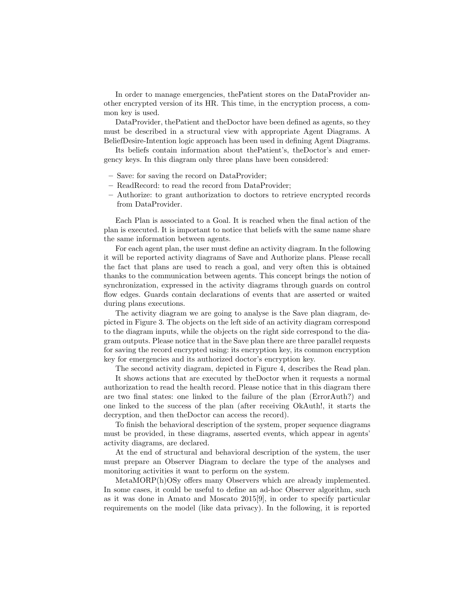In order to manage emergencies, thePatient stores on the DataProvider another encrypted version of its HR. This time, in the encryption process, a common key is used.

DataProvider, thePatient and theDoctor have been defined as agents, so they must be described in a structural view with appropriate Agent Diagrams. A BeliefDesire-Intention logic approach has been used in defining Agent Diagrams.

Its beliefs contain information about thePatient's, theDoctor's and emergency keys. In this diagram only three plans have been considered:

- Save: for saving the record on DataProvider;
- ReadRecord: to read the record from DataProvider;
- Authorize: to grant authorization to doctors to retrieve encrypted records from DataProvider.

Each Plan is associated to a Goal. It is reached when the final action of the plan is executed. It is important to notice that beliefs with the same name share the same information between agents.

For each agent plan, the user must define an activity diagram. In the following it will be reported activity diagrams of Save and Authorize plans. Please recall the fact that plans are used to reach a goal, and very often this is obtained thanks to the communication between agents. This concept brings the notion of synchronization, expressed in the activity diagrams through guards on control flow edges. Guards contain declarations of events that are asserted or waited during plans executions.

The activity diagram we are going to analyse is the Save plan diagram, depicted in Figure 3. The objects on the left side of an activity diagram correspond to the diagram inputs, while the objects on the right side correspond to the diagram outputs. Please notice that in the Save plan there are three parallel requests for saving the record encrypted using: its encryption key, its common encryption key for emergencies and its authorized doctor's encryption key.

The second activity diagram, depicted in Figure 4, describes the Read plan.

It shows actions that are executed by theDoctor when it requests a normal authorization to read the health record. Please notice that in this diagram there are two final states: one linked to the failure of the plan (ErrorAuth?) and one linked to the success of the plan (after receiving OkAuth!, it starts the decryption, and then theDoctor can access the record).

To finish the behavioral description of the system, proper sequence diagrams must be provided, in these diagrams, asserted events, which appear in agents' activity diagrams, are declared.

At the end of structural and behavioral description of the system, the user must prepare an Observer Diagram to declare the type of the analyses and monitoring activities it want to perform on the system.

MetaMORP(h)OSy offers many Observers which are already implemented. In some cases, it could be useful to define an ad-hoc Observer algorithm, such as it was done in Amato and Moscato 2015[9], in order to specify particular requirements on the model (like data privacy). In the following, it is reported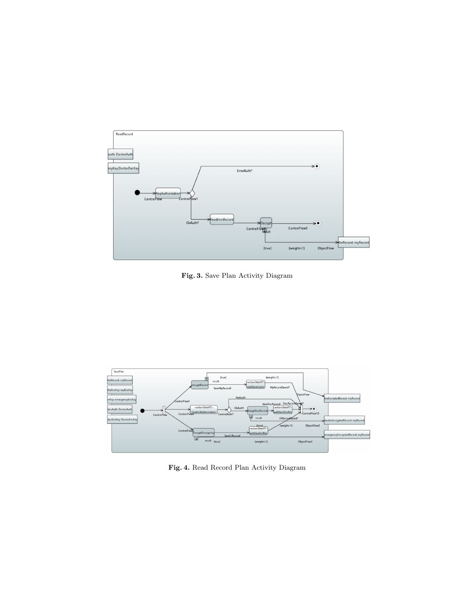

Fig. 3. Save Plan Activity Diagram



Fig. 4. Read Record Plan Activity Diagram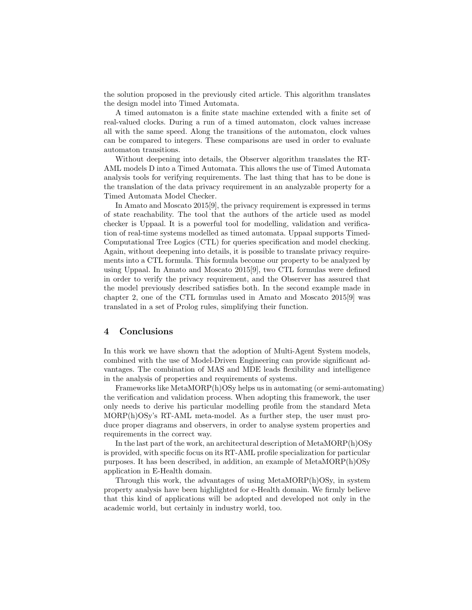the solution proposed in the previously cited article. This algorithm translates the design model into Timed Automata.

A timed automaton is a finite state machine extended with a finite set of real-valued clocks. During a run of a timed automaton, clock values increase all with the same speed. Along the transitions of the automaton, clock values can be compared to integers. These comparisons are used in order to evaluate automaton transitions.

Without deepening into details, the Observer algorithm translates the RT-AML models D into a Timed Automata. This allows the use of Timed Automata analysis tools for verifying requirements. The last thing that has to be done is the translation of the data privacy requirement in an analyzable property for a Timed Automata Model Checker.

In Amato and Moscato 2015[9], the privacy requirement is expressed in terms of state reachability. The tool that the authors of the article used as model checker is Uppaal. It is a powerful tool for modelling, validation and verification of real-time systems modelled as timed automata. Uppaal supports Timed-Computational Tree Logics (CTL) for queries specification and model checking. Again, without deepening into details, it is possible to translate privacy requirements into a CTL formula. This formula become our property to be analyzed by using Uppaal. In Amato and Moscato 2015[9], two CTL formulas were defined in order to verify the privacy requirement, and the Observer has assured that the model previously described satisfies both. In the second example made in chapter 2, one of the CTL formulas used in Amato and Moscato 2015[9] was translated in a set of Prolog rules, simplifying their function.

#### 4 Conclusions

In this work we have shown that the adoption of Multi-Agent System models, combined with the use of Model-Driven Engineering can provide significant advantages. The combination of MAS and MDE leads flexibility and intelligence in the analysis of properties and requirements of systems.

Frameworks like MetaMORP(h)OSy helps us in automating (or semi-automating) the verification and validation process. When adopting this framework, the user only needs to derive his particular modelling profile from the standard Meta MORP(h)OSy's RT-AML meta-model. As a further step, the user must produce proper diagrams and observers, in order to analyse system properties and requirements in the correct way.

In the last part of the work, an architectural description of MetaMORP(h)OSy is provided, with specific focus on its RT-AML profile specialization for particular purposes. It has been described, in addition, an example of MetaMORP(h)OSy application in E-Health domain.

Through this work, the advantages of using MetaMORP $(h)$ OSy, in system property analysis have been highlighted for e-Health domain. We firmly believe that this kind of applications will be adopted and developed not only in the academic world, but certainly in industry world, too.